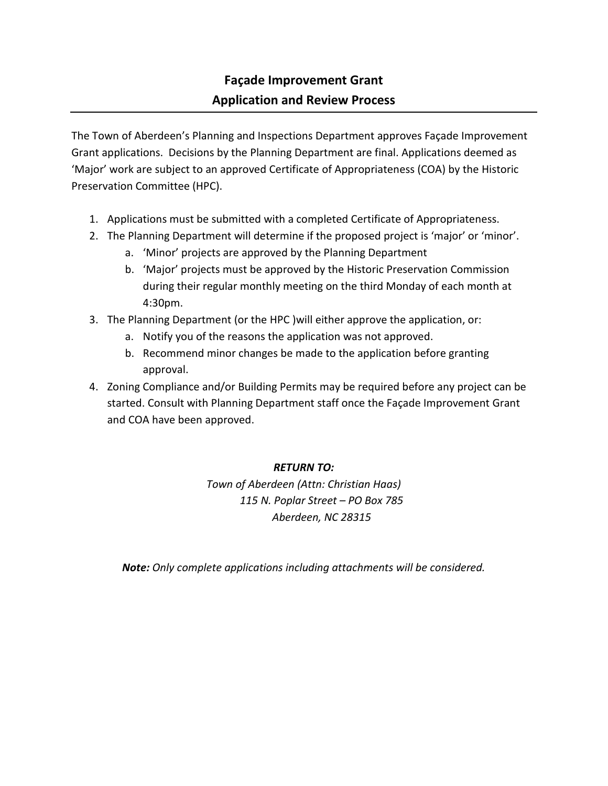## **Façade Improvement Grant Application and Review Process**

The Town of Aberdeen's Planning and Inspections Department approves Façade Improvement Grant applications. Decisions by the Planning Department are final. Applications deemed as 'Major' work are subject to an approved Certificate of Appropriateness (COA) by the Historic Preservation Committee (HPC).

- 1. Applications must be submitted with a completed Certificate of Appropriateness.
- 2. The Planning Department will determine if the proposed project is 'major' or 'minor'.
	- a. 'Minor' projects are approved by the Planning Department
	- b. 'Major' projects must be approved by the Historic Preservation Commission during their regular monthly meeting on the third Monday of each month at 4:30pm.
- 3. The Planning Department (or the HPC )will either approve the application, or:
	- a. Notify you of the reasons the application was not approved.
	- b. Recommend minor changes be made to the application before granting approval.
- 4. Zoning Compliance and/or Building Permits may be required before any project can be started. Consult with Planning Department staff once the Façade Improvement Grant and COA have been approved.

## *RETURN TO:*

*Town of Aberdeen (Attn: Christian Haas) 115 N. Poplar Street – PO Box 785 Aberdeen, NC 28315*

*Note: Only complete applications including attachments will be considered.*